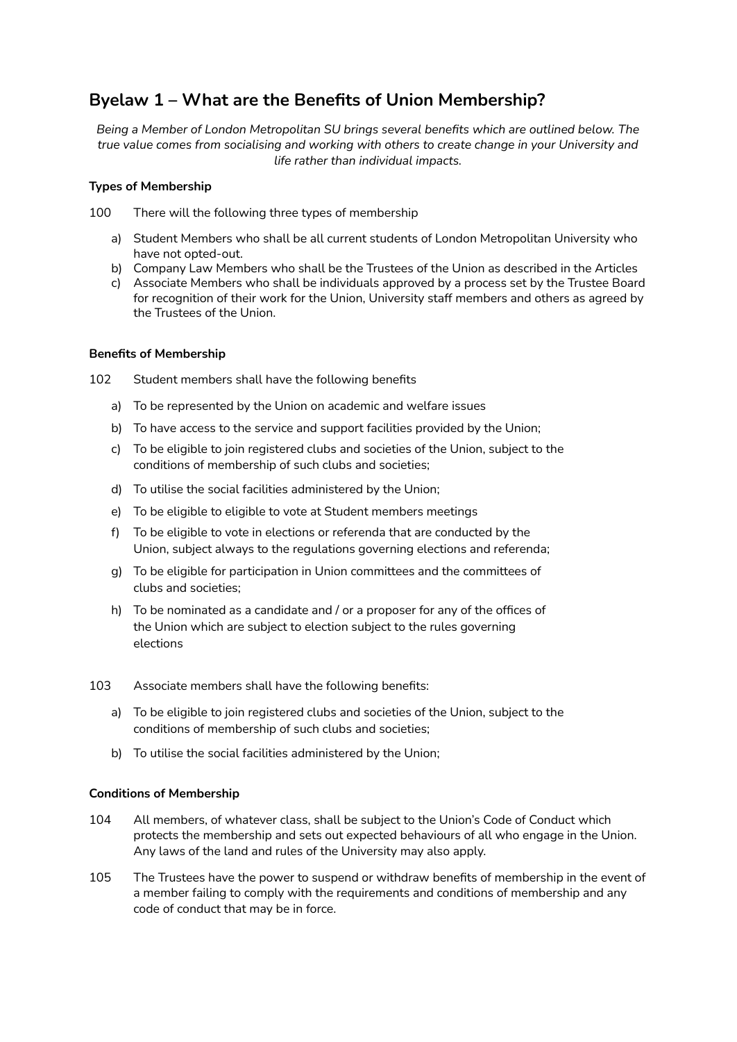# **Byelaw 1 – What are the Benefits of Union Membership?**

*Being a Member of London Metropolitan SU brings several benefits which are outlined below. The true value comes from socialising and working with others to create change in your University and life rather than individual impacts.*

## **Types of Membership**

100 There will the following three types of membership

- a) Student Members who shall be all current students of London Metropolitan University who have not opted-out.
- b) Company Law Members who shall be the Trustees of the Union as described in the Articles
- c) Associate Members who shall be individuals approved by a process set by the Trustee Board for recognition of their work for the Union, University staff members and others as agreed by the Trustees of the Union.

### **Benefits of Membership**

102 Student members shall have the following benefits

- a) To be represented by the Union on academic and welfare issues
- b) To have access to the service and support facilities provided by the Union;
- c) To be eligible to join registered clubs and societies of the Union, subject to the conditions of membership of such clubs and societies;
- d) To utilise the social facilities administered by the Union;
- e) To be eligible to eligible to vote at Student members meetings
- f) To be eligible to vote in elections or referenda that are conducted by the Union, subject always to the regulations governing elections and referenda;
- g) To be eligible for participation in Union committees and the committees of clubs and societies;
- h) To be nominated as a candidate and / or a proposer for any of the offices of the Union which are subject to election subject to the rules governing elections
- 103 Associate members shall have the following benefits:
	- a) To be eligible to join registered clubs and societies of the Union, subject to the conditions of membership of such clubs and societies;
	- b) To utilise the social facilities administered by the Union;

#### **Conditions of Membership**

- 104 All members, of whatever class, shall be subject to the Union's Code of Conduct which protects the membership and sets out expected behaviours of all who engage in the Union. Any laws of the land and rules of the University may also apply.
- 105 The Trustees have the power to suspend or withdraw benefits of membership in the event of a member failing to comply with the requirements and conditions of membership and any code of conduct that may be in force.